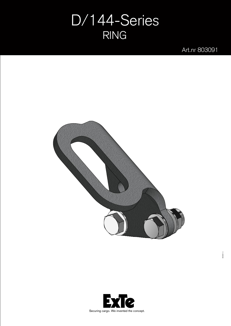## D/144-Series RING

Art.nr 803091



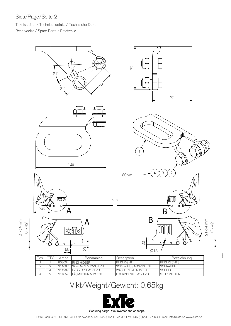## Sida/Page/Seite 2

mm

Teknisk data / Technical details / Technische Daten Reservdelar / Spare Parts / Ersatzteile



| Pos. | <b>OTY</b> | Art.nr | <b>Benämning</b>     | Description                  | Bezeichnung         |
|------|------------|--------|----------------------|------------------------------|---------------------|
|      |            | 803004 | RING HÖGFR           | <b>RING RIGHT</b>            | <b>IRING RECHTS</b> |
|      |            | 211082 | Skruv M6S M12x30 FZB | <b>ISCREW M6S M12x30 FZB</b> | <b>SCHRAUBE</b>     |
|      |            | 211907 | Bricka BRB M12 FZB   | <b>WASHER BRB M12 FZB</b>    | <b>SCHEIBE</b>      |
| Δ    |            | 211857 | LÁSMUTTER M12 FZB    | ILOCKING NUT M12 FZB         | <b>ISTOP MUTTER</b> |

## Vikt/Weight/Gewicht: 0,65kg